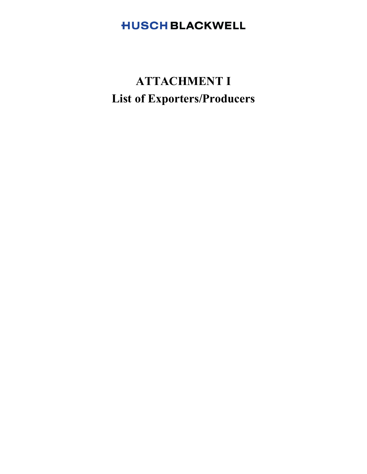# **HUSCH BLACKWELL**

# **ATTACHMENT I List of Exporters/Producers**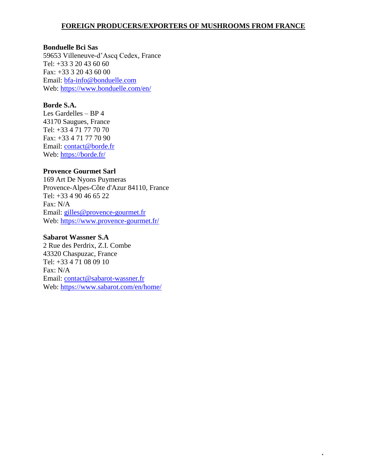# **FOREIGN PRODUCERS/EXPORTERS OF MUSHROOMS FROM FRANCE**

\*

#### **Bonduelle Bci Sas**

59653 Villeneuve-d'Ascq Cedex, France Tel: +33 3 20 43 60 60 Fax: +33 3 20 43 60 00 Email: bfa-info@bonduelle.com Web: https://www.bonduelle.com/en/

#### **Borde S.A.**

Les Gardelles – BP 4 43170 Saugues, France Tel: +33 4 71 77 70 70 Fax: +33 4 71 77 70 90 Email: contact@borde.fr Web: https://borde.fr/

#### **Provence Gourmet Sarl**

169 Art De Nyons Puymeras Provence-Alpes-Côte d'Azur 84110, France Tel: +33 4 90 46 65 22 Fax: N/A Email: gilles@provence-gourmet.fr Web: https://www.provence-gourmet.fr/

#### **Sabarot Wassner S.A**

2 Rue des Perdrix, Z.I. Combe 43320 Chaspuzac, France Tel: +33 4 71 08 09 10 Fax: N/A Email: contact@sabarot-wassner.fr Web: https://www.sabarot.com/en/home/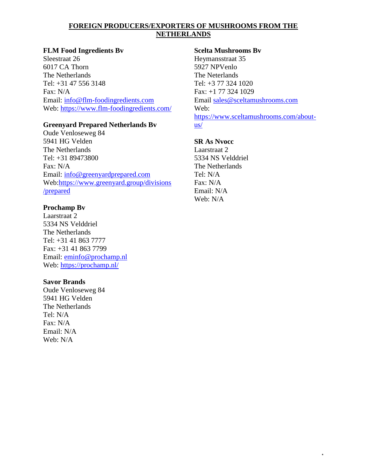# **FOREIGN PRODUCERS/EXPORTERS OF MUSHROOMS FROM THE NETHERLANDS**

# **FLM Food Ingredients Bv**

Sleestraat 26 6017 CA Thorn The Netherlands Tel: +31 47 556 3148 Fax: N/A Email: info@flm-foodingredients.com Web: https://www.flm-foodingredients.com/

# **Greenyard Prepared Netherlands Bv**

Oude Venloseweg 84 5941 HG Velden The Netherlands Tel: +31 89473800 Fax: N/A Email: info@greenyardprepared.com Web:https://www.greenyard.group/divisions /prepared

# **Prochamp Bv**

Laarstraat 2 5334 NS Velddriel The Netherlands Tel: +31 41 863 7777 Fax: +31 41 863 7799 Email: eminfo@prochamp.nl Web: https://prochamp.nl/

# **Savor Brands**

Oude Venloseweg 84 5941 HG Velden The Netherlands Tel: N/A Fax: N/A Email: N/A Web: N/A

# **Scelta Mushrooms Bv**

Heymansstraat 35 5927 NPVenlo The Neterlands Tel: +3 77 324 1020 Fax: +1 77 324 1029 Email sales@sceltamushrooms.com Web: https://www.sceltamushrooms.com/aboutus/

\*

# **SR As Nvocc**

Laarstraat 2 5334 NS Velddriel The Netherlands Tel: N/A Fax: N/A Email: N/A Web: N/A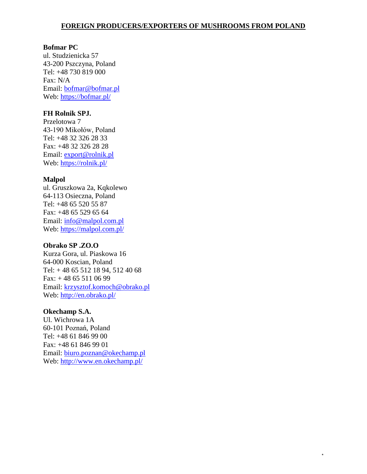\*

#### **Bofmar PC**

ul. Studzienicka 57 43-200 Pszczyna, Poland Tel: +48 730 819 000 Fax: N/A Email: bofmar@bofmar.pl Web: https://bofmar.pl/

#### **FH Rolnik SPJ.**

Przelotowa 7 43-190 Mikołów, Poland Tel: +48 32 326 28 33 Fax: +48 32 326 28 28 Email: export@rolnik.pl Web: https://rolnik.pl/

#### **Malpol**

ul. Gruszkowa 2a, Kqkolewo 64-113 Osieczna, Poland Tel: +48 65 520 55 87 Fax: +48 65 529 65 64 Email: info@malpol.com.pl Web: https://malpol.com.pl/

#### **Obrako SP .ZO.O**

Kurza Gora, ul. Piaskowa 16 64-000 Koscian, Poland Tel: + 48 65 512 18 94, 512 40 68 Fax: + 48 65 511 06 99 Email: krzysztof.komoch@obrako.pl Web: http://en.obrako.pl/

#### **Okechamp S.A.**

Ul. Wichrowa 1A 60-101 Poznań, Poland Tel: +48 61 846 99 00 Fax: +48 61 846 99 01 Email: biuro.poznan@okechamp.pl Web: http://www.en.okechamp.pl/